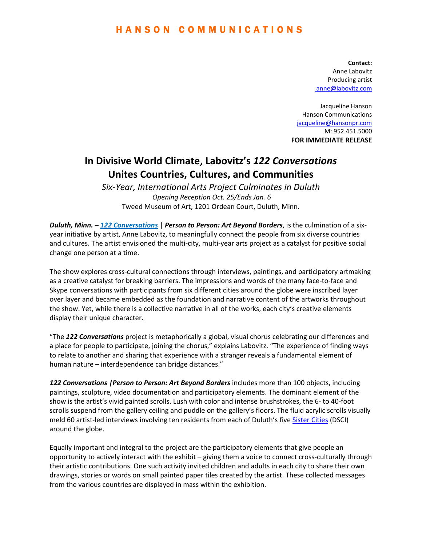### H A N S O N C O M M U N I C A T I O N S

**Contact:**  Anne Labovitz Producing artist [anne@labovitz.com](mailto:%20anne@labovitz.com)

Jacqueline Hanson Hanson Communications [jacqueline@hansonpr.com](mailto:jacqueline@hansonpr.com) M: 952.451.5000 **FOR IMMEDIATE RELEASE**

# **In Divisive World Climate, Labovitz's** *122 Conversations* **Unites Countries, Cultures, and Communities**

*Six-Year, International Arts Project Culminates in Duluth Opening Reception Oct. 25/Ends Jan. 6* Tweed Museum of Art, 1201 Ordean Court, Duluth, Minn.

*Duluth, Minn. – [122 Conversations](http://122conversations.com/)* | *Person to Person: Art Beyond Borders*, is the culmination of a sixyear initiative by artist, Anne Labovitz, to meaningfully connect the people from six diverse countries and cultures. The artist envisioned the multi-city, multi-year arts project as a catalyst for positive social change one person at a time.

The show explores cross-cultural connections through interviews, paintings, and participatory artmaking as a creative catalyst for breaking barriers. The impressions and words of the many face-to-face and Skype conversations with participants from six different cities around the globe were inscribed layer over layer and became embedded as the foundation and narrative content of the artworks throughout the show. Yet, while there is a collective narrative in all of the works, each city's creative elements display their unique character.

"The *122 Conversations* project is metaphorically a global, visual chorus celebrating our differences and a place for people to participate, joining the chorus," explains Labovitz. "The experience of finding ways to relate to another and sharing that experience with a stranger reveals a fundamental element of human nature – interdependence can bridge distances."

122 Conversations *| Person to Person: Art Beyond Borders* includes more than 100 objects, including paintings, sculpture, video documentation and participatory elements. The dominant element of the show is the artist's vivid painted scrolls. Lush with color and intense brushstrokes, the 6- to 40-foot scrolls suspend from the gallery ceiling and puddle on the gallery's floors. The fluid acrylic scrolls visually meld 60 artist-led interviews involving ten residents from each of Duluth's five [Sister Cities](http://www.duluthmnsistercities.org/) (DSCI) around the globe.

Equally important and integral to the project are the participatory elements that give people an opportunity to actively interact with the exhibit – giving them a voice to connect cross-culturally through their artistic contributions. One such activity invited children and adults in each city to share their own drawings, stories or words on small painted paper tiles created by the artist. These collected messages from the various countries are displayed in mass within the exhibition.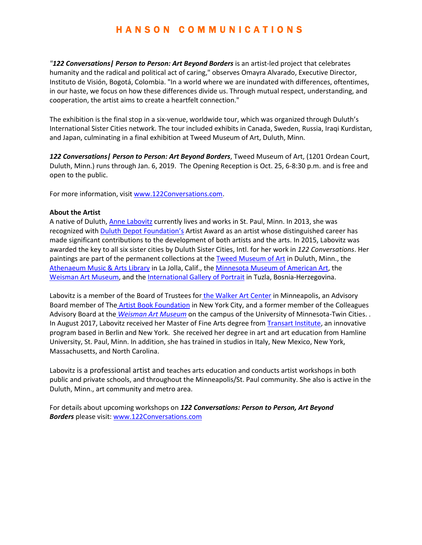## H A N S O N C O M M U N I C A T I O N S

*"122 Conversations| Person to Person: Art Beyond Borders* is an artist-led project that celebrates humanity and the radical and political act of caring," observes Omayra Alvarado, Executive Director, Instituto de Visión, Bogotá, Colombia. "In a world where we are inundated with differences, oftentimes, in our haste, we focus on how these differences divide us. Through mutual respect, understanding, and cooperation, the artist aims to create a heartfelt connection."

The exhibition is the final stop in a six-venue, worldwide tour, which was organized through Duluth's International Sister Cities network. The tour included exhibits in Canada, Sweden, Russia, Iraqi Kurdistan, and Japan, culminating in a final exhibition at Tweed Museum of Art, Duluth, Minn.

*122 Conversations| Person to Person: Art Beyond Borders*, Tweed Museum of Art, (1201 Ordean Court, Duluth, Minn.) runs through Jan. 6, 2019. The Opening Reception is Oct. 25, 6-8:30 p.m. and is free and open to the public.

For more information, visi[t www.122Conversations.com.](http://www.122conversations.com/)

#### **About the Artist**

A native of Duluth, Anne [Labovitz](http://labovitz.com/) currently lives and works in St. Paul, Minn. In 2013, she was recognized wit[h Duluth Depot Foundation](http://www.depotfoundation.org/index.php)'s Artist Award as an artist whose distinguished career has made significant contributions to the development of both artists and the arts. In 2015, Labovitz was awarded the key to all six sister cities by Duluth Sister Cities, Intl. for her work in *122 Conversations*. Her paintings are part of the permanent collections at the [Tweed Museum of Art](http://www.d.umn.edu/tma/) in Duluth, Minn., the [Athenaeum Music & Arts Library](http://www.ljathenaeum.org/) in La Jolla, Calif., the [Minnesota Museum of American Art,](http://mmaa.org/) the [Weisman Art Museum,](http://wam.umn.edu/) and the [International Gallery of Portrait](http://www.galerijaportreta.ba/en/interbifep.htm) in Tuzla, Bosnia-Herzegovina.

Labovitz is a member of the Board of Trustees for [the Walker Art Center](http://www.walkerart.org/) in Minneapolis, an Advisory Board member of The [Artist Book Foundation](http://theartistbook.org/) in New York City, and a former member of the Colleagues Advisory Board at the *[Weisman Art Museum](http://www.weisman.umn.edu/)* on the campus of the University of Minnesota-Twin Cities. . In August 2017, Labovitz received her Master of Fine Arts degree from [Transart Institute,](http://www.transart.org/) an innovative program based in Berlin and New York. She received her degree in art and art education from Hamline University, St. Paul, Minn. In addition, she has trained in studios in Italy, New Mexico, New York, Massachusetts, and North Carolina.

Labovitz is a professional artist and teaches arts education and conducts artist workshops in both public and private schools, and throughout the Minneapolis/St. Paul community. She also is active in the Duluth, Minn., art community and metro area.

For details about upcoming workshops on *122 Conversations: Person to Person, Art Beyond Borders* please visit[: www.122Conversations.com](http://www.122conversations.com/)